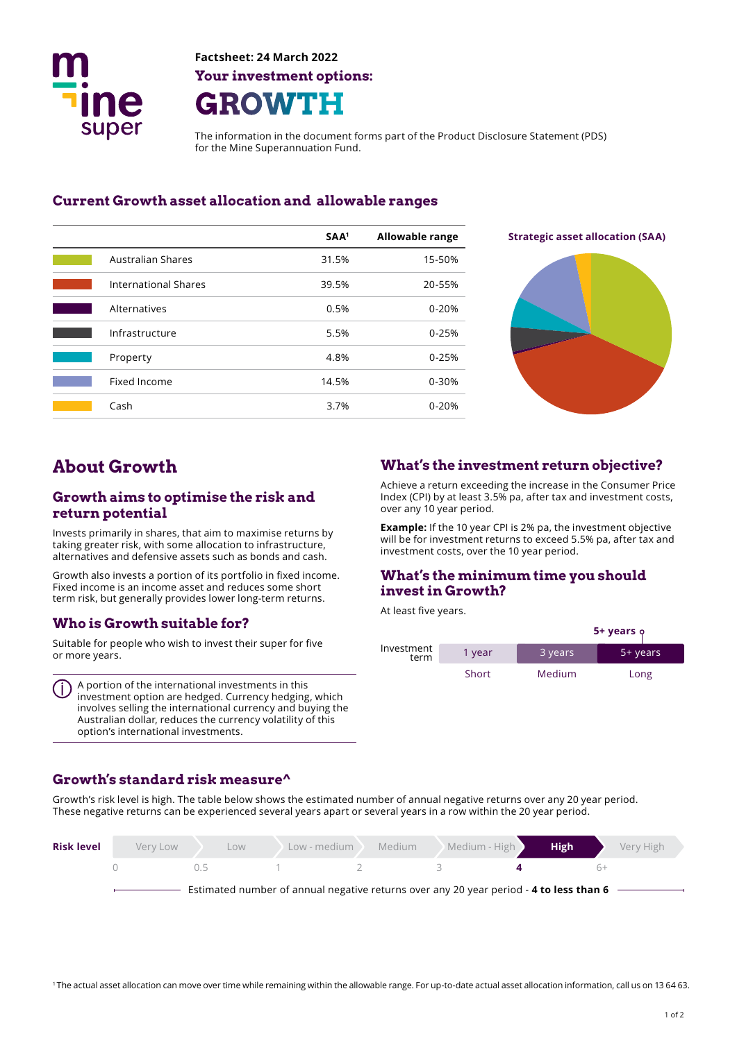

**Factsheet: 24 March 2022 Your investment options: GROWTH** 

The information in the document forms part of the Product Disclosure Statement (PDS) for the Mine Superannuation Fund.

#### **Current Growth asset allocation and allowable ranges**

|                             | SAA <sup>1</sup> | <b>Allowable range</b> |
|-----------------------------|------------------|------------------------|
| <b>Australian Shares</b>    | 31.5%            | 15-50%                 |
| <b>International Shares</b> | 39.5%            | 20-55%                 |
| Alternatives                | 0.5%             | $0 - 20%$              |
| Infrastructure              | 5.5%             | $0 - 25%$              |
| Property                    | 4.8%             | $0 - 25%$              |
| Fixed Income                | 14.5%            | 0-30%                  |
| Cash                        | 3.7%             | $0 - 20%$              |



## **About Growth**

#### **Growth aims to optimise the risk and return potential**

Invests primarily in shares, that aim to maximise returns by taking greater risk, with some allocation to infrastructure, alternatives and defensive assets such as bonds and cash.

Growth also invests a portion of its portfolio in fixed income. Fixed income is an income asset and reduces some short term risk, but generally provides lower long-term returns.

#### **Who is Growth suitable for?**

Suitable for people who wish to invest their super for five or more years.

A portion of the international investments in this investment option are hedged. Currency hedging, which involves selling the international currency and buying the Australian dollar, reduces the currency volatility of this option's international investments.

## **What's the investment return objective?**

Achieve a return exceeding the increase in the Consumer Price Index (CPI) by at least 3.5% pa, after tax and investment costs, over any 10 year period.

**Example:** If the 10 year CPI is 2% pa, the investment objective will be for investment returns to exceed 5.5% pa, after tax and investment costs, over the 10 year period.

## **What's the minimum time you should invest in Growth?**

At least five years.

|                    |        |         | 5+ years <b>ρ</b> |  |  |
|--------------------|--------|---------|-------------------|--|--|
| Investment<br>term | 1 year | 3 years | 5+ years          |  |  |
|                    | Short  | Medium  | Long              |  |  |

#### **Growth's standard risk measure^**

Growth's risk level is high. The table below shows the estimated number of annual negative returns over any 20 year period. These negative returns can be experienced several years apart or several years in a row within the 20 year period.

| <b>Risk level</b> | Very Low | Low                                                                                      | Low - medium | Medium | Medium - High | <b>High</b> | Very High |
|-------------------|----------|------------------------------------------------------------------------------------------|--------------|--------|---------------|-------------|-----------|
|                   |          | () 5                                                                                     |              |        |               |             | $h+$      |
|                   |          | Estimated number of annual negative returns over any 20 year period - 4 to less than 6 – |              |        |               |             |           |